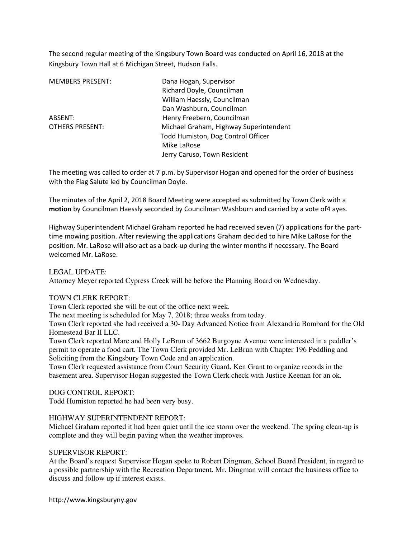The second regular meeting of the Kingsbury Town Board was conducted on April 16, 2018 at the Kingsbury Town Hall at 6 Michigan Street, Hudson Falls.

MEMBERS PRESENT: Dana Hogan, Supervisor

 Richard Doyle, Councilman William Haessly, Councilman Dan Washburn, Councilman ABSENT: Henry Freebern, Councilman OTHERS PRESENT: Michael Graham, Highway Superintendent Todd Humiston, Dog Control Officer Mike LaRose Jerry Caruso, Town Resident

The meeting was called to order at 7 p.m. by Supervisor Hogan and opened for the order of business with the Flag Salute led by Councilman Doyle.

The minutes of the April 2, 2018 Board Meeting were accepted as submitted by Town Clerk with a motion by Councilman Haessly seconded by Councilman Washburn and carried by a vote of4 ayes.

Highway Superintendent Michael Graham reported he had received seven (7) applications for the parttime mowing position. After reviewing the applications Graham decided to hire Mike LaRose for the position. Mr. LaRose will also act as a back-up during the winter months if necessary. The Board welcomed Mr. LaRose.

LEGAL UPDATE:

Attorney Meyer reported Cypress Creek will be before the Planning Board on Wednesday.

## TOWN CLERK REPORT:

Town Clerk reported she will be out of the office next week.

The next meeting is scheduled for May 7, 2018; three weeks from today.

Town Clerk reported she had received a 30- Day Advanced Notice from Alexandria Bombard for the Old Homestead Bar II LLC.

Town Clerk reported Marc and Holly LeBrun of 3662 Burgoyne Avenue were interested in a peddler's permit to operate a food cart. The Town Clerk provided Mr. LeBrun with Chapter 196 Peddling and Soliciting from the Kingsbury Town Code and an application.

Town Clerk requested assistance from Court Security Guard, Ken Grant to organize records in the basement area. Supervisor Hogan suggested the Town Clerk check with Justice Keenan for an ok.

DOG CONTROL REPORT:

Todd Humiston reported he had been very busy.

## HIGHWAY SUPERINTENDENT REPORT:

Michael Graham reported it had been quiet until the ice storm over the weekend. The spring clean-up is complete and they will begin paving when the weather improves.

## SUPERVISOR REPORT:

At the Board's request Supervisor Hogan spoke to Robert Dingman, School Board President, in regard to a possible partnership with the Recreation Department. Mr. Dingman will contact the business office to discuss and follow up if interest exists.

http://www.kingsburyny.gov